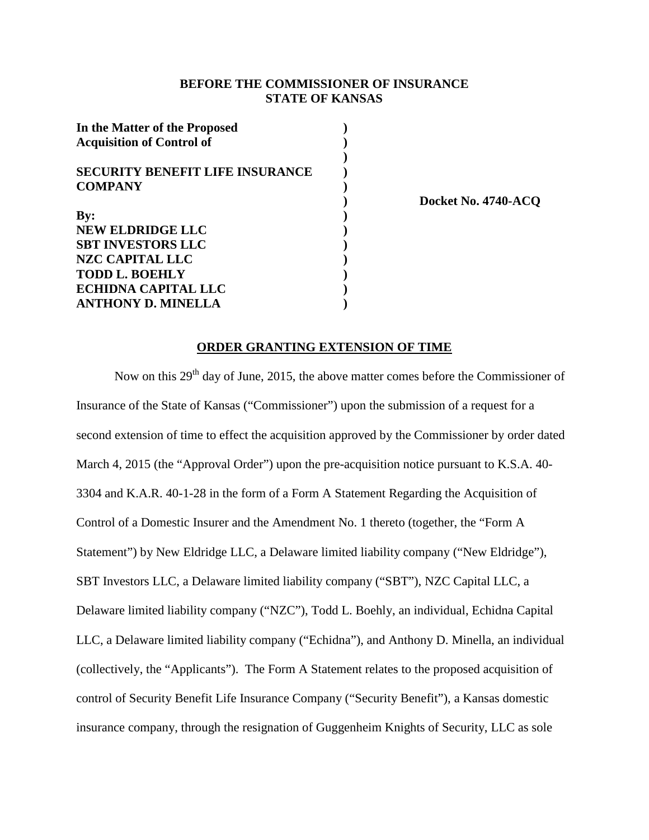### **BEFORE THE COMMISSIONER OF INSURANCE STATE OF KANSAS**

| In the Matter of the Proposed          |  |
|----------------------------------------|--|
| <b>Acquisition of Control of</b>       |  |
|                                        |  |
| <b>SECURITY BENEFIT LIFE INSURANCE</b> |  |
| <b>COMPANY</b>                         |  |
|                                        |  |
| $\mathbf{By:}$                         |  |
| <b>NEW ELDRIDGE LLC</b>                |  |
| <b>SBT INVESTORS LLC</b>               |  |
| NZC CAPITAL LLC                        |  |
| <b>TODD L. BOEHLY</b>                  |  |
| <b>ECHIDNA CAPITAL LLC</b>             |  |
| <b>ANTHONY D. MINELLA</b>              |  |

**) Docket No. 4740-ACQ**

#### **ORDER GRANTING EXTENSION OF TIME**

Now on this  $29<sup>th</sup>$  day of June, 2015, the above matter comes before the Commissioner of Insurance of the State of Kansas ("Commissioner") upon the submission of a request for a second extension of time to effect the acquisition approved by the Commissioner by order dated March 4, 2015 (the "Approval Order") upon the pre-acquisition notice pursuant to K.S.A. 40- 3304 and K.A.R. 40-1-28 in the form of a Form A Statement Regarding the Acquisition of Control of a Domestic Insurer and the Amendment No. 1 thereto (together, the "Form A Statement") by New Eldridge LLC, a Delaware limited liability company ("New Eldridge"), SBT Investors LLC, a Delaware limited liability company ("SBT"), NZC Capital LLC, a Delaware limited liability company ("NZC"), Todd L. Boehly, an individual, Echidna Capital LLC, a Delaware limited liability company ("Echidna"), and Anthony D. Minella, an individual (collectively, the "Applicants"). The Form A Statement relates to the proposed acquisition of control of Security Benefit Life Insurance Company ("Security Benefit"), a Kansas domestic insurance company, through the resignation of Guggenheim Knights of Security, LLC as sole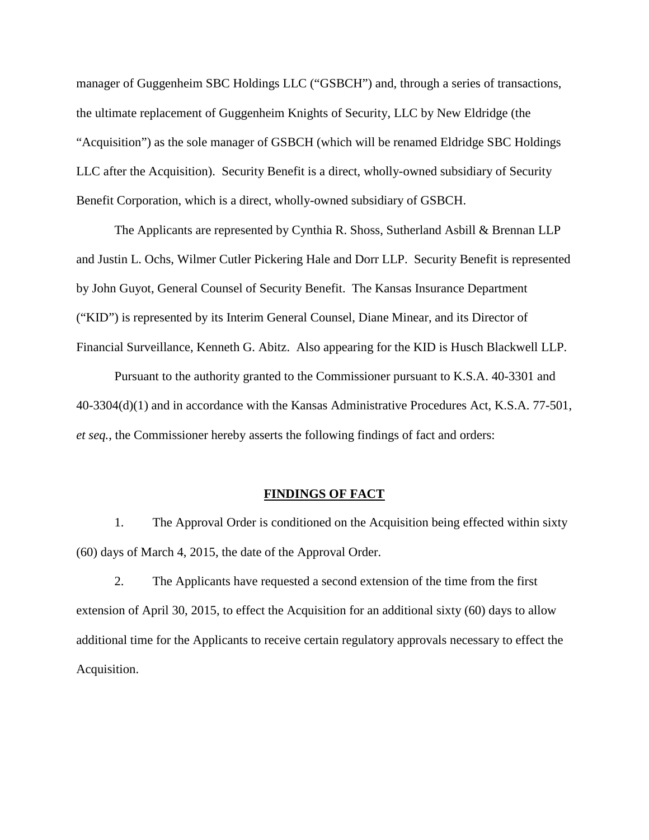manager of Guggenheim SBC Holdings LLC ("GSBCH") and, through a series of transactions, the ultimate replacement of Guggenheim Knights of Security, LLC by New Eldridge (the "Acquisition") as the sole manager of GSBCH (which will be renamed Eldridge SBC Holdings LLC after the Acquisition). Security Benefit is a direct, wholly-owned subsidiary of Security Benefit Corporation, which is a direct, wholly-owned subsidiary of GSBCH.

The Applicants are represented by Cynthia R. Shoss, Sutherland Asbill & Brennan LLP and Justin L. Ochs, Wilmer Cutler Pickering Hale and Dorr LLP. Security Benefit is represented by John Guyot, General Counsel of Security Benefit. The Kansas Insurance Department ("KID") is represented by its Interim General Counsel, Diane Minear, and its Director of Financial Surveillance, Kenneth G. Abitz. Also appearing for the KID is Husch Blackwell LLP.

Pursuant to the authority granted to the Commissioner pursuant to K.S.A. 40-3301 and 40-3304(d)(1) and in accordance with the Kansas Administrative Procedures Act, K.S.A. 77-501, *et seq.*, the Commissioner hereby asserts the following findings of fact and orders:

# **FINDINGS OF FACT**

1. The Approval Order is conditioned on the Acquisition being effected within sixty (60) days of March 4, 2015, the date of the Approval Order.

2. The Applicants have requested a second extension of the time from the first extension of April 30, 2015, to effect the Acquisition for an additional sixty (60) days to allow additional time for the Applicants to receive certain regulatory approvals necessary to effect the Acquisition.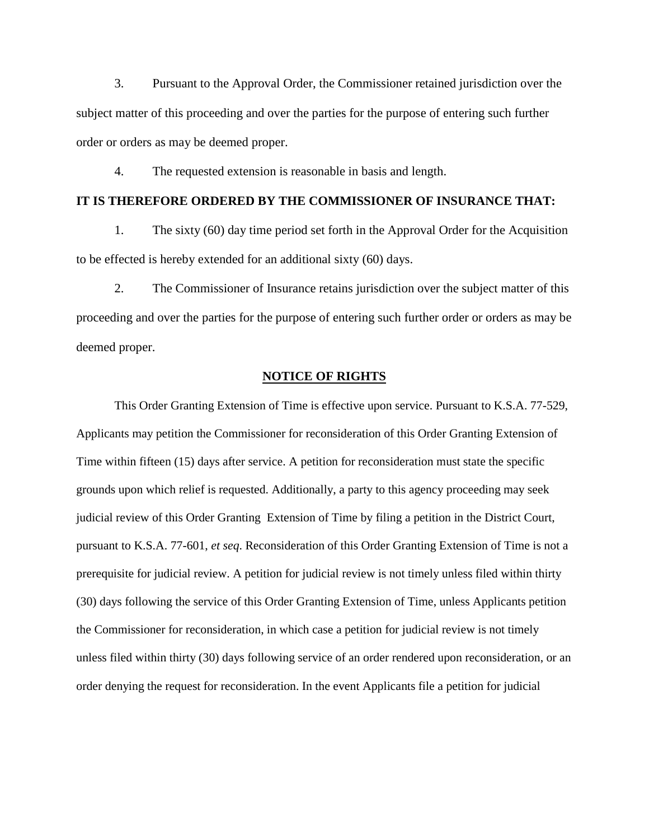3. Pursuant to the Approval Order, the Commissioner retained jurisdiction over the subject matter of this proceeding and over the parties for the purpose of entering such further order or orders as may be deemed proper.

4. The requested extension is reasonable in basis and length.

## **IT IS THEREFORE ORDERED BY THE COMMISSIONER OF INSURANCE THAT:**

1. The sixty (60) day time period set forth in the Approval Order for the Acquisition to be effected is hereby extended for an additional sixty (60) days.

2. The Commissioner of Insurance retains jurisdiction over the subject matter of this proceeding and over the parties for the purpose of entering such further order or orders as may be deemed proper.

#### **NOTICE OF RIGHTS**

This Order Granting Extension of Time is effective upon service. Pursuant to K.S.A. 77-529, Applicants may petition the Commissioner for reconsideration of this Order Granting Extension of Time within fifteen (15) days after service. A petition for reconsideration must state the specific grounds upon which relief is requested. Additionally, a party to this agency proceeding may seek judicial review of this Order Granting Extension of Time by filing a petition in the District Court, pursuant to K.S.A. 77-601, *et seq*. Reconsideration of this Order Granting Extension of Time is not a prerequisite for judicial review. A petition for judicial review is not timely unless filed within thirty (30) days following the service of this Order Granting Extension of Time, unless Applicants petition the Commissioner for reconsideration, in which case a petition for judicial review is not timely unless filed within thirty (30) days following service of an order rendered upon reconsideration, or an order denying the request for reconsideration. In the event Applicants file a petition for judicial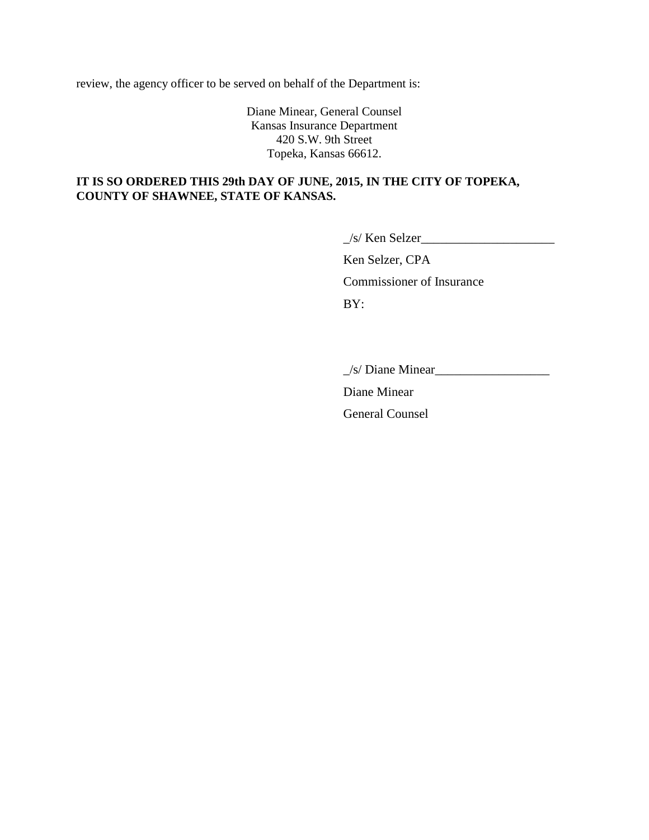review, the agency officer to be served on behalf of the Department is:

Diane Minear, General Counsel Kansas Insurance Department 420 S.W. 9th Street Topeka, Kansas 66612.

### **IT IS SO ORDERED THIS 29th DAY OF JUNE, 2015, IN THE CITY OF TOPEKA, COUNTY OF SHAWNEE, STATE OF KANSAS.**

 $\angle$ s/ Ken Selzer $\angle$ 

Ken Selzer, CPA Commissioner of Insurance BY:

 $\angle$ s/ Diane Minear $\angle$ 

Diane Minear

General Counsel